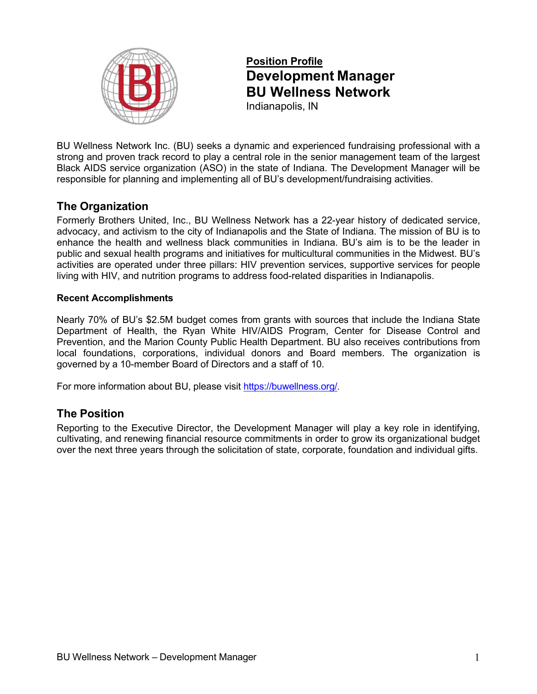

# **Position Profile Development Manager BU Wellness Network**

Indianapolis, IN

BU Wellness Network Inc. (BU) seeks a dynamic and experienced fundraising professional with a strong and proven track record to play a central role in the senior management team of the largest Black AIDS service organization (ASO) in the state of Indiana. The Development Manager will be responsible for planning and implementing all of BU's development/fundraising activities.

# **The Organization**

Formerly Brothers United, Inc., BU Wellness Network has a 22-year history of dedicated service, advocacy, and activism to the city of Indianapolis and the State of Indiana. The mission of BU is to enhance the health and wellness black communities in Indiana. BU's aim is to be the leader in public and sexual health programs and initiatives for multicultural communities in the Midwest. BU's activities are operated under three pillars: HIV prevention services, supportive services for people living with HIV, and nutrition programs to address food-related disparities in Indianapolis.

#### **Recent Accomplishments**

Nearly 70% of BU's \$2.5M budget comes from grants with sources that include the Indiana State Department of Health, the Ryan White HIV/AIDS Program, Center for Disease Control and Prevention, and the Marion County Public Health Department. BU also receives contributions from local foundations, corporations, individual donors and Board members. The organization is governed by a 10-member Board of Directors and a staff of 10.

For more information about BU, please visit <https://buwellness.org/>[.](https://buwellness.org/)

# **The Position**

Reporting to the Executive Director, the Development Manager will play a key role in identifying, cultivating, and renewing financial resource commitments in order to grow its organizational budget over the next three years through the solicitation of state, corporate, foundation and individual gifts.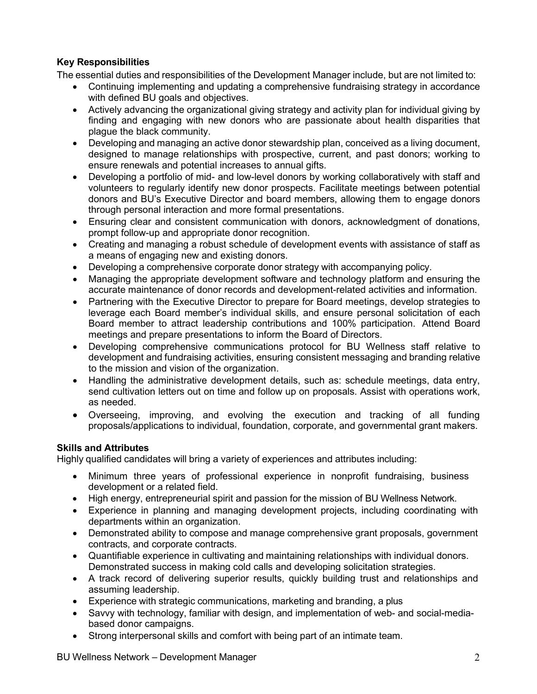## **Key Responsibilities**

The essential duties and responsibilities of the Development Manager include, but are not limited to:

- Continuing implementing and updating a comprehensive fundraising strategy in accordance with defined BU goals and objectives.
- Actively advancing the organizational giving strategy and activity plan for individual giving by finding and engaging with new donors who are passionate about health disparities that plague the black community.
- Developing and managing an active donor stewardship plan, conceived as a living document, designed to manage relationships with prospective, current, and past donors; working to ensure renewals and potential increases to annual gifts.
- Developing a portfolio of mid- and low-level donors by working collaboratively with staff and volunteers to regularly identify new donor prospects. Facilitate meetings between potential donors and BU's Executive Director and board members, allowing them to engage donors through personal interaction and more formal presentations.
- Ensuring clear and consistent communication with donors, acknowledgment of donations, prompt follow-up and appropriate donor recognition.
- Creating and managing a robust schedule of development events with assistance of staff as a means of engaging new and existing donors.
- Developing a comprehensive corporate donor strategy with accompanying policy.
- Managing the appropriate development software and technology platform and ensuring the accurate maintenance of donor records and development-related activities and information.
- Partnering with the Executive Director to prepare for Board meetings, develop strategies to leverage each Board member's individual skills, and ensure personal solicitation of each Board member to attract leadership contributions and 100% participation. Attend Board meetings and prepare presentations to inform the Board of Directors.
- Developing comprehensive communications protocol for BU Wellness staff relative to development and fundraising activities, ensuring consistent messaging and branding relative to the mission and vision of the organization.
- Handling the administrative development details, such as: schedule meetings, data entry, send cultivation letters out on time and follow up on proposals. Assist with operations work, as needed.
- Overseeing, improving, and evolving the execution and tracking of all funding proposals/applications to individual, foundation, corporate, and governmental grant makers.

#### **Skills and Attributes**

Highly qualified candidates will bring a variety of experiences and attributes including:

- Minimum three years of professional experience in nonprofit fundraising, business development or a related field.
- High energy, entrepreneurial spirit and passion for the mission of BU Wellness Network.
- Experience in planning and managing development projects, including coordinating with departments within an organization.
- Demonstrated ability to compose and manage comprehensive grant proposals, government contracts, and corporate contracts.
- Quantifiable experience in cultivating and maintaining relationships with individual donors. Demonstrated success in making cold calls and developing solicitation strategies.
- A track record of delivering superior results, quickly building trust and relationships and assuming leadership.
- Experience with strategic communications, marketing and branding, a plus
- Savvy with technology, familiar with design, and implementation of web- and social-mediabased donor campaigns.
- Strong interpersonal skills and comfort with being part of an intimate team.

BU Wellness Network – Development Manager 2